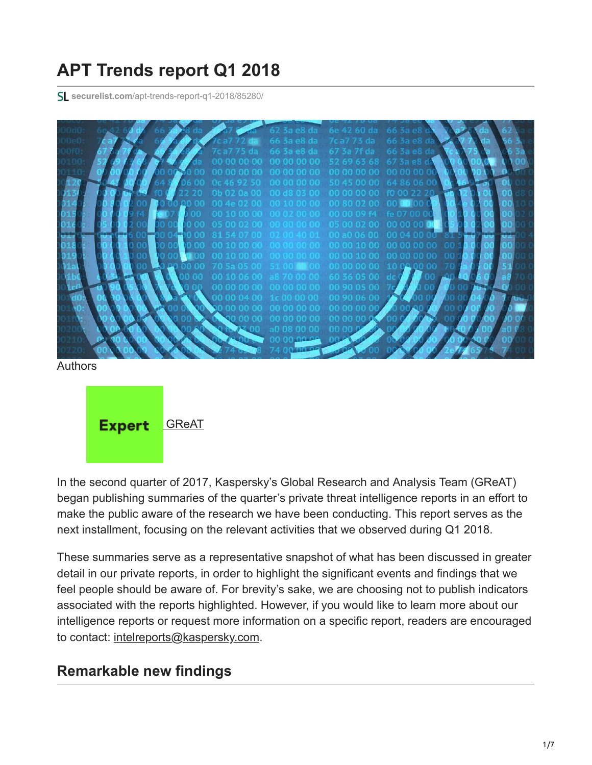# **APT Trends report Q1 2018**

**securelist.com**[/apt-trends-report-q1-2018/85280/](https://securelist.com/apt-trends-report-q1-2018/85280/)



Authors



In the second quarter of 2017, Kaspersky's Global Research and Analysis Team (GReAT) began publishing summaries of the quarter's private threat intelligence reports in an effort to make the public aware of the research we have been conducting. This report serves as the next installment, focusing on the relevant activities that we observed during Q1 2018.

These summaries serve as a representative snapshot of what has been discussed in greater detail in our private reports, in order to highlight the significant events and findings that we feel people should be aware of. For brevity's sake, we are choosing not to publish indicators associated with the reports highlighted. However, if you would like to learn more about our intelligence reports or request more information on a specific report, readers are encouraged to contact: [intelreports@kaspersky.com](http://10.10.0.46/mailto:intelreports@kaspersky.com).

#### **Remarkable new findings**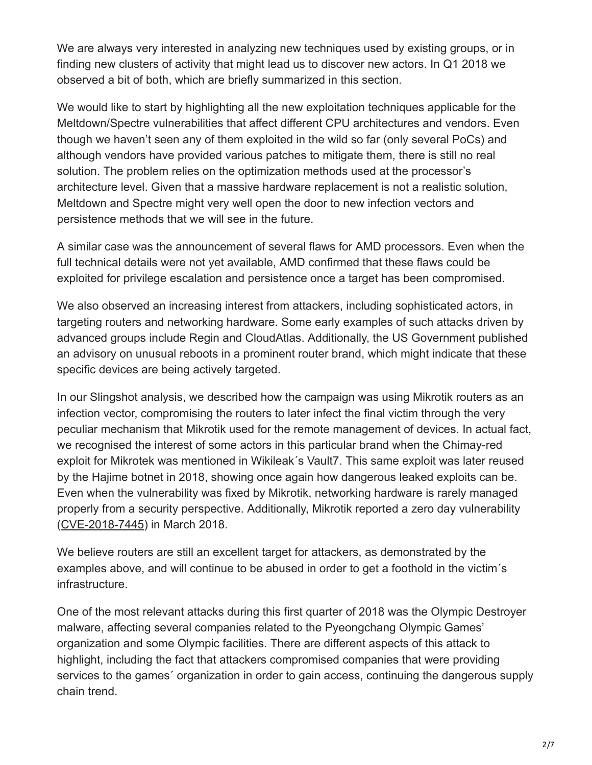We are always very interested in analyzing new techniques used by existing groups, or in finding new clusters of activity that might lead us to discover new actors. In Q1 2018 we observed a bit of both, which are briefly summarized in this section.

We would like to start by highlighting all the new exploitation techniques applicable for the Meltdown/Spectre vulnerabilities that affect different CPU architectures and vendors. Even though we haven't seen any of them exploited in the wild so far (only several PoCs) and although vendors have provided various patches to mitigate them, there is still no real solution. The problem relies on the optimization methods used at the processor's architecture level. Given that a massive hardware replacement is not a realistic solution, Meltdown and Spectre might very well open the door to new infection vectors and persistence methods that we will see in the future.

A similar case was the announcement of several flaws for AMD processors. Even when the full technical details were not yet available, AMD confirmed that these flaws could be exploited for privilege escalation and persistence once a target has been compromised.

We also observed an increasing interest from attackers, including sophisticated actors, in targeting routers and networking hardware. Some early examples of such attacks driven by advanced groups include Regin and CloudAtlas. Additionally, the US Government published an advisory on unusual reboots in a prominent router brand, which might indicate that these specific devices are being actively targeted.

In our Slingshot analysis, we described how the campaign was using Mikrotik routers as an infection vector, compromising the routers to later infect the final victim through the very peculiar mechanism that Mikrotik used for the remote management of devices. In actual fact, we recognised the interest of some actors in this particular brand when the Chimay-red exploit for Mikrotek was mentioned in Wikileak´s Vault7. This same exploit was later reused by the Hajime botnet in 2018, showing once again how dangerous leaked exploits can be. Even when the vulnerability was fixed by Mikrotik, networking hardware is rarely managed properly from a security perspective. Additionally, Mikrotik reported a zero day vulnerability ([CVE-2018-7445](https://www.coresecurity.com/advisories/mikrotik-routeros-smb-buffer-overflow)) in March 2018.

We believe routers are still an excellent target for attackers, as demonstrated by the examples above, and will continue to be abused in order to get a foothold in the victim´s infrastructure.

One of the most relevant attacks during this first quarter of 2018 was the Olympic Destroyer malware, affecting several companies related to the Pyeongchang Olympic Games' organization and some Olympic facilities. There are different aspects of this attack to highlight, including the fact that attackers compromised companies that were providing services to the games´ organization in order to gain access, continuing the dangerous supply chain trend.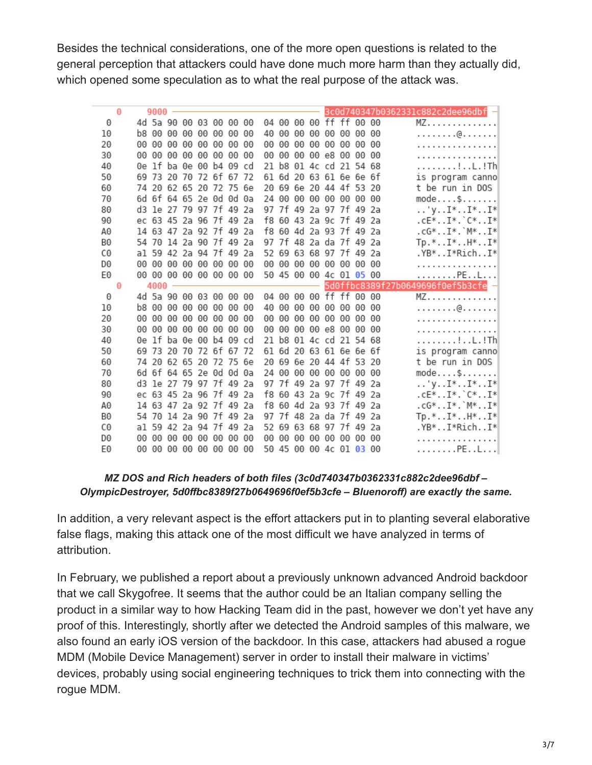Besides the technical considerations, one of the more open questions is related to the general perception that attackers could have done much more harm than they actually did, which opened some speculation as to what the real purpose of the attack was.

|          | Θ | $9000 -$ |  |                                                    |  |    |  |  |                                                                 | 3c0d740347b0362331c882c2dee96dbf - |
|----------|---|----------|--|----------------------------------------------------|--|----|--|--|-----------------------------------------------------------------|------------------------------------|
| 0        |   |          |  | 4d 5a 90 00 03 00 00 00                            |  |    |  |  | 04 00 00 00 ff ff 00 00                                         | $MZ$                               |
| 10       |   |          |  | b8 00 00 00 00 00 00 00                            |  |    |  |  | 40 00 00 00 00 00 00 00                                         | . @.                               |
| 20       |   |          |  | 00 00 00 00 00 00 00 00                            |  | 00 |  |  | 00 00 00 00 00 00 00                                            | .                                  |
| 30       |   |          |  | 00 00 00 00 00 00 00 00                            |  | 00 |  |  | 00 00 00 e8 00 00 00                                            | .                                  |
| 40       |   |          |  | 0e lf ba 0e 00 b4 09 cd                            |  |    |  |  | 21 b8 01 4c cd 21 54 68                                         | . ! L . ! Th                       |
| 50       |   |          |  | 69 73 20 70 72 6f 67 72                            |  |    |  |  | 61 6d 20 63 61 6e 6e 6f                                         | is program canno                   |
| 60       |   |          |  | 74 20 62 65 20 72 75 6e                            |  |    |  |  | 20 69 6e 20 44 4f 53 20                                         | t be run in DOS                    |
| 70       |   |          |  | 6d 6f 64 65 2e 0d 0d 0a                            |  |    |  |  | 24 00 00 00 00 00 00 00                                         | $model \dots$ \$                   |
| 80       |   |          |  | d3 1e 27 79 97 7f 49 2a                            |  |    |  |  | 97 7f 49 2a 97 7f 49 2a                                         | $\ldots$ 'y $I^*$ $I^*$ $I^*$      |
| 90       |   |          |  | ec 63 45 2a 96 7f 49 2a                            |  |    |  |  | f8 60 43 2a 9c 7f 49 2a                                         | $.CE*I*.`C*I*$                     |
| A0       |   |          |  | 14 63 47 2a 92 7f 49 2a                            |  |    |  |  | f8 60 4d 2a 93 7f 49 2a                                         | $.CG*. . I*. 'M*. . I*$            |
| B0       |   |          |  | 54 70 14 2a 90 7f 49 2a                            |  |    |  |  | 97 7f 48 2a da 7f 49 2a                                         | $Tp.*I*.H*.I*.$                    |
| C0       |   |          |  | al 59 42 2a 94 7f 49 2a                            |  |    |  |  | 52 69 63 68 97 7f 49 2a                                         | .YB*I*RichI*                       |
| D0       |   |          |  | 00 00 00 00 00 00 00 00                            |  |    |  |  | 00 00 00 00 00 00 00 00                                         | .                                  |
| EΘ       |   |          |  | 00 00 00 00 00 00 00 00                            |  |    |  |  | 50 45 00 00 4c 01 05 00                                         | . PE L                             |
|          |   |          |  |                                                    |  |    |  |  |                                                                 |                                    |
|          | Θ | $4000 -$ |  |                                                    |  |    |  |  |                                                                 | 5d0ffbc8389f27b0649696f0ef5b3cfe - |
| 0        |   |          |  | 4d 5a 90 00 03 00 00 00                            |  |    |  |  | 04 00 00 00 ff ff 00 00                                         | $MZ$                               |
| 10       |   |          |  | b8 00 00 00 00 00 00 00                            |  |    |  |  | 40 00 00 00 00 00 00 00                                         | . @                                |
| 20       |   |          |  | 00 00 00 00 00 00 00 00                            |  | 00 |  |  | 00 00 00 00 00 00 00                                            | . <b>.</b>                         |
| 30       |   |          |  | 00 00 00 00 00 00 00 00                            |  | 00 |  |  | 00 00 00 e8 00 00 00                                            | .                                  |
| 40       |   |          |  | 0e lf ba 0e 00 b4 09 cd                            |  | 21 |  |  | b8 01 4c cd 21 54 68                                            | . ! L . ! Th                       |
| 50       |   |          |  | 69 73 20 70 72 6f 67 72                            |  |    |  |  | 61 6d 20 63 61 6e 6e 6f                                         | is program canno                   |
| 60       |   |          |  | 74 20 62 65 20 72 75 6e                            |  |    |  |  | 20 69 6e 20 44 4f 53 20                                         | t be run in DOS                    |
| 70       |   |          |  | 6d 6f 64 65 2e 0d 0d 0a                            |  |    |  |  | 24 00 00 00 00 00 00 00                                         | $model \dots$ \$                   |
| 80       |   |          |  | d3 1e 27 79 97 7f 49 2a                            |  |    |  |  | 97 7f 49 2a 97 7f 49 2a                                         | $\ldots$ 'y $I^*$ $I^*$ $I^*$      |
| 90       |   |          |  | ec 63 45 2a 96 7f 49 2a                            |  |    |  |  | f8 60 43 2a 9c 7f 49 2a                                         | .cE*I*.`C*I*                       |
| A0       |   |          |  | 14 63 47 2a 92 7f 49 2a                            |  |    |  |  | f8 60 4d 2a 93 7f 49 2a                                         | $.CG*. . I*. 'M*. . I*$            |
| B0       |   |          |  | 54 70 14 2a 90 7f 49 2a                            |  |    |  |  | 97 7f 48 2a da 7f 49 2a                                         | $Tp.*I*.H*.I*.$                    |
| C0       |   |          |  | al 59 42 2a 94 7f 49 2a                            |  |    |  |  | 52 69 63 68 97 7f 49 2a                                         | .YB*I*RichI*                       |
| D0<br>E0 |   |          |  | 00 00 00 00 00 00 00 00<br>00 00 00 00 00 00 00 00 |  |    |  |  | 00 00 00 00 00 00 00 00<br>50 45 00 00 4c 0l <mark>03</mark> 00 | .<br>. PE L                        |

#### *MZ DOS and Rich headers of both files (3c0d740347b0362331c882c2dee96dbf – OlympicDestroyer, 5d0ffbc8389f27b0649696f0ef5b3cfe – Bluenoroff) are exactly the same.*

In addition, a very relevant aspect is the effort attackers put in to planting several elaborative false flags, making this attack one of the most difficult we have analyzed in terms of attribution.

In February, we published a report about a previously unknown advanced Android backdoor that we call Skygofree. It seems that the author could be an Italian company selling the product in a similar way to how Hacking Team did in the past, however we don't yet have any proof of this. Interestingly, shortly after we detected the Android samples of this malware, we also found an early iOS version of the backdoor. In this case, attackers had abused a rogue MDM (Mobile Device Management) server in order to install their malware in victims' devices, probably using social engineering techniques to trick them into connecting with the rogue MDM.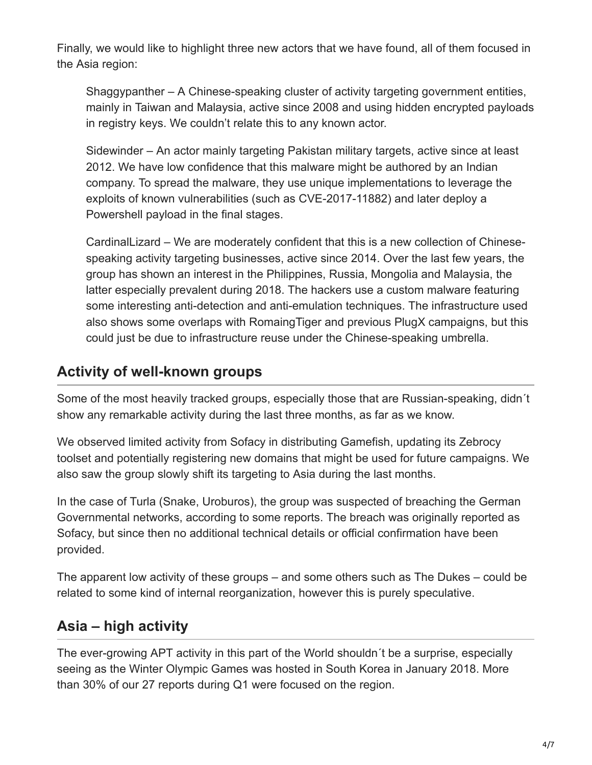Finally, we would like to highlight three new actors that we have found, all of them focused in the Asia region:

Shaggypanther – A Chinese-speaking cluster of activity targeting government entities, mainly in Taiwan and Malaysia, active since 2008 and using hidden encrypted payloads in registry keys. We couldn't relate this to any known actor.

Sidewinder – An actor mainly targeting Pakistan military targets, active since at least 2012. We have low confidence that this malware might be authored by an Indian company. To spread the malware, they use unique implementations to leverage the exploits of known vulnerabilities (such as CVE-2017-11882) and later deploy a Powershell payload in the final stages.

CardinalLizard – We are moderately confident that this is a new collection of Chinesespeaking activity targeting businesses, active since 2014. Over the last few years, the group has shown an interest in the Philippines, Russia, Mongolia and Malaysia, the latter especially prevalent during 2018. The hackers use a custom malware featuring some interesting anti-detection and anti-emulation techniques. The infrastructure used also shows some overlaps with RomaingTiger and previous PlugX campaigns, but this could just be due to infrastructure reuse under the Chinese-speaking umbrella.

### **Activity of well-known groups**

Some of the most heavily tracked groups, especially those that are Russian-speaking, didn´t show any remarkable activity during the last three months, as far as we know.

We observed limited activity from Sofacy in distributing Gamefish, updating its Zebrocy toolset and potentially registering new domains that might be used for future campaigns. We also saw the group slowly shift its targeting to Asia during the last months.

In the case of Turla (Snake, Uroburos), the group was suspected of breaching the German Governmental networks, according to some reports. The breach was originally reported as Sofacy, but since then no additional technical details or official confirmation have been provided.

The apparent low activity of these groups – and some others such as The Dukes – could be related to some kind of internal reorganization, however this is purely speculative.

#### **Asia – high activity**

The ever-growing APT activity in this part of the World shouldn´t be a surprise, especially seeing as the Winter Olympic Games was hosted in South Korea in January 2018. More than 30% of our 27 reports during Q1 were focused on the region.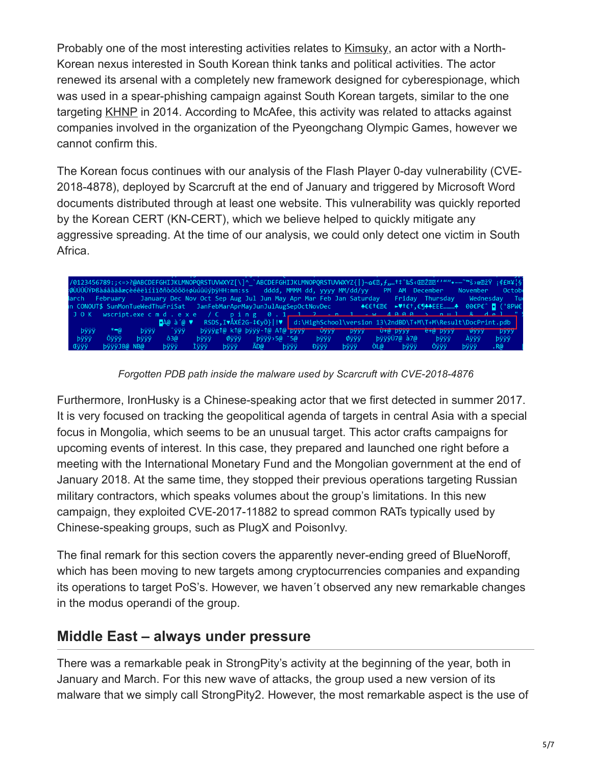Probably one of the most interesting activities relates to Kimsuky, an actor with a North-Korean nexus interested in South Korean think tanks and political activities. The actor renewed its arsenal with a completely new framework designed for cyberespionage, which was used in a spear-phishing campaign against South Korean targets, similar to the one targeting [KHNP](http://h21.hani.co.kr/arti/economy/economy_general/38919.html) in 2014. According to McAfee, this activity was related to attacks against companies involved in the organization of the Pyeongchang Olympic Games, however we cannot confirm this.

The Korean focus continues with our analysis of the Flash Player 0-day vulnerability (CVE-2018-4878), deployed by Scarcruft at the end of January and triggered by Microsoft Word documents distributed through at least one website. This vulnerability was quickly reported by the Korean CERT (KN-CERT), which we believe helped to quickly mitigate any aggressive spreading. At the time of our analysis, we could only detect one victim in South Africa.



*Forgotten PDB path inside the malware used by Scarcruft with CVE-2018-4876*

Furthermore, IronHusky is a Chinese-speaking actor that we first detected in summer 2017. It is very focused on tracking the geopolitical agenda of targets in central Asia with a special focus in Mongolia, which seems to be an unusual target. This actor crafts campaigns for upcoming events of interest. In this case, they prepared and launched one right before a meeting with the International Monetary Fund and the Mongolian government at the end of January 2018. At the same time, they stopped their previous operations targeting Russian military contractors, which speaks volumes about the group's limitations. In this new campaign, they exploited CVE-2017-11882 to spread common RATs typically used by Chinese-speaking groups, such as PlugX and PoisonIvy.

The final remark for this section covers the apparently never-ending greed of BlueNoroff, which has been moving to new targets among cryptocurrencies companies and expanding its operations to target PoS's. However, we haven´t observed any new remarkable changes in the modus operandi of the group.

#### **Middle East – always under pressure**

There was a remarkable peak in StrongPity's activity at the beginning of the year, both in January and March. For this new wave of attacks, the group used a new version of its malware that we simply call StrongPity2. However, the most remarkable aspect is the use of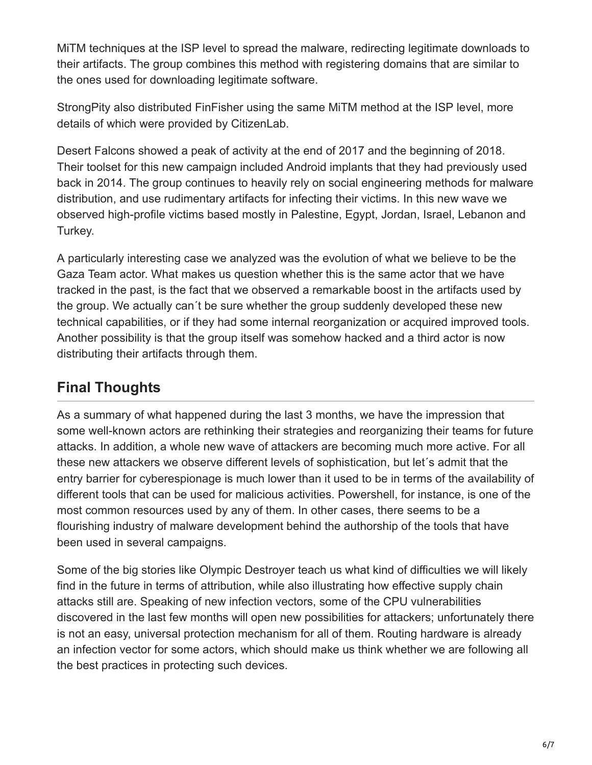MiTM techniques at the ISP level to spread the malware, redirecting legitimate downloads to their artifacts. The group combines this method with registering domains that are similar to the ones used for downloading legitimate software.

StrongPity also distributed FinFisher using the same MiTM method at the ISP level, more details of which were provided by CitizenLab.

Desert Falcons showed a peak of activity at the end of 2017 and the beginning of 2018. Their toolset for this new campaign included Android implants that they had previously used back in 2014. The group continues to heavily rely on social engineering methods for malware distribution, and use rudimentary artifacts for infecting their victims. In this new wave we observed high-profile victims based mostly in Palestine, Egypt, Jordan, Israel, Lebanon and Turkey.

A particularly interesting case we analyzed was the evolution of what we believe to be the Gaza Team actor. What makes us question whether this is the same actor that we have tracked in the past, is the fact that we observed a remarkable boost in the artifacts used by the group. We actually can´t be sure whether the group suddenly developed these new technical capabilities, or if they had some internal reorganization or acquired improved tools. Another possibility is that the group itself was somehow hacked and a third actor is now distributing their artifacts through them.

## **Final Thoughts**

As a summary of what happened during the last 3 months, we have the impression that some well-known actors are rethinking their strategies and reorganizing their teams for future attacks. In addition, a whole new wave of attackers are becoming much more active. For all these new attackers we observe different levels of sophistication, but let´s admit that the entry barrier for cyberespionage is much lower than it used to be in terms of the availability of different tools that can be used for malicious activities. Powershell, for instance, is one of the most common resources used by any of them. In other cases, there seems to be a flourishing industry of malware development behind the authorship of the tools that have been used in several campaigns.

Some of the big stories like Olympic Destroyer teach us what kind of difficulties we will likely find in the future in terms of attribution, while also illustrating how effective supply chain attacks still are. Speaking of new infection vectors, some of the CPU vulnerabilities discovered in the last few months will open new possibilities for attackers; unfortunately there is not an easy, universal protection mechanism for all of them. Routing hardware is already an infection vector for some actors, which should make us think whether we are following all the best practices in protecting such devices.